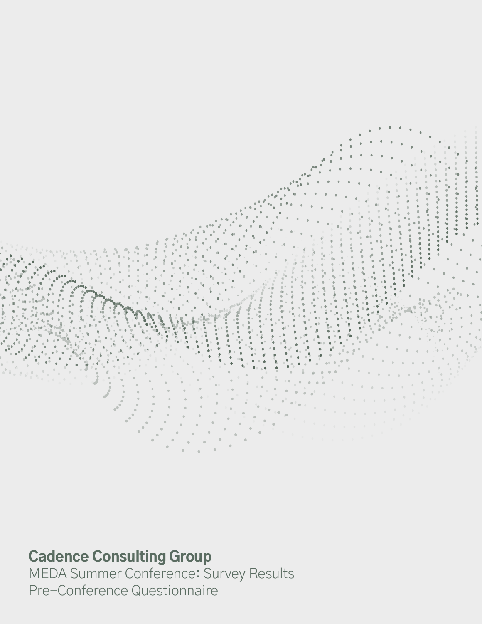

## Cadence Consulting Group

MEDA Summer Conference: Survey Results Pre-Conference Questionnaire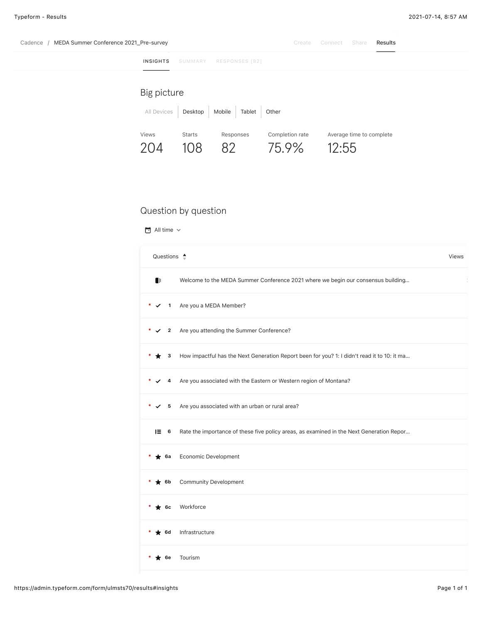| MEDA Summer Conference 2021_Pre-survey<br>Cadence |                      |                 |        | Create                   | Connect | Share                    | Results |
|---------------------------------------------------|----------------------|-----------------|--------|--------------------------|---------|--------------------------|---------|
| <b>INSIGHTS</b>                                   | SUMMARY              | RESPONSES [82]  |        |                          |         |                          |         |
| Big picture                                       |                      |                 |        |                          |         |                          |         |
| All Devices                                       | Desktop              | Mobile          | Tablet | Other                    |         |                          |         |
| Views<br>204                                      | <b>Starts</b><br>108 | Responses<br>82 |        | Completion rate<br>75.9% | 12:55   | Average time to complete |         |

### Question by question

All time  $\vee$ 

| Questions $\triangleq$                                                                              | <b>Views</b> |
|-----------------------------------------------------------------------------------------------------|--------------|
| $\blacksquare$<br>Welcome to the MEDA Summer Conference 2021 where we begin our consensus building  |              |
| Are you a MEDA Member?<br>$\overline{\mathbf{1}}$<br>✓                                              |              |
| Are you attending the Summer Conference?<br>$\overline{2}$<br>✓                                     |              |
| How impactful has the Next Generation Report been for you? 1: I didn't read it to 10: it ma<br>3    |              |
| Are you associated with the Eastern or Western region of Montana?<br>4                              |              |
| Are you associated with an urban or rural area?<br>$\checkmark$<br>5                                |              |
| Rate the importance of these five policy areas, as examined in the Next Generation Repor<br>$E = 6$ |              |
| Economic Development<br>$\star$ 6a                                                                  |              |
| <b>Community Development</b><br>$\star$ 6b                                                          |              |
| Workforce<br>$\star$ 6c                                                                             |              |
| Infrastructure<br>$\blacktriangleright$ 6d                                                          |              |
| Tourism<br>6e                                                                                       |              |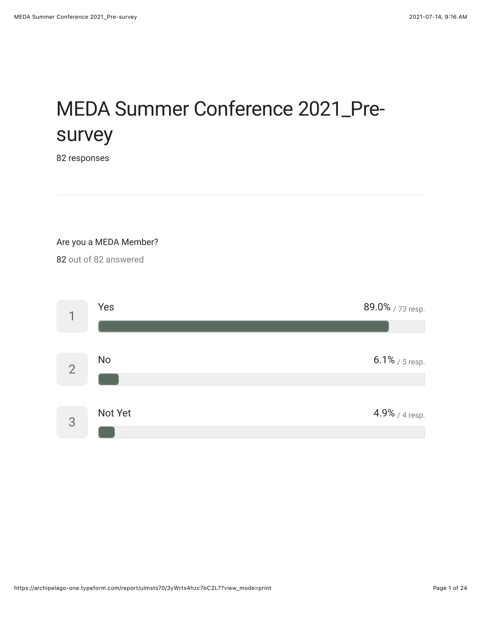# MEDA Summer Conference 2021\_Presurvey

92 responses

Are you a MEDA Member?

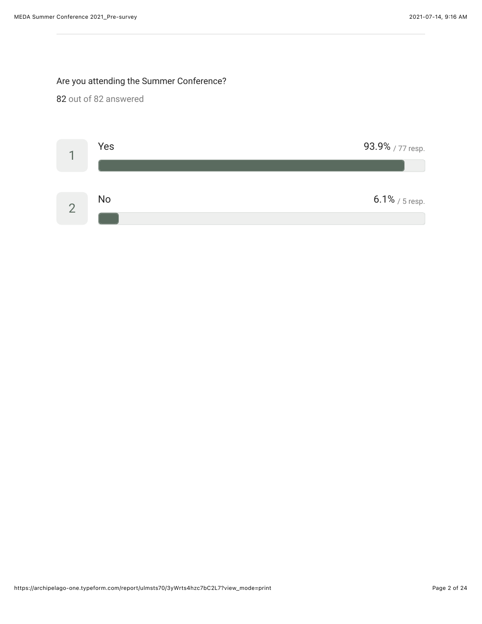### Are you attending the Summer Conference?

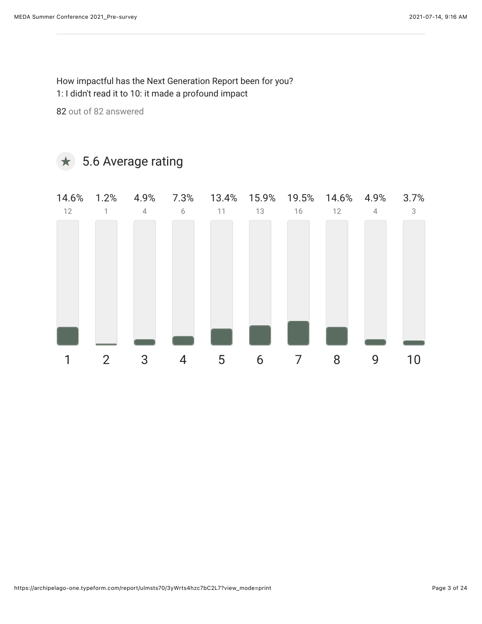How impactful has the Next Generation Report been for you? 1: I didn't read it to 10: it made a profound impact

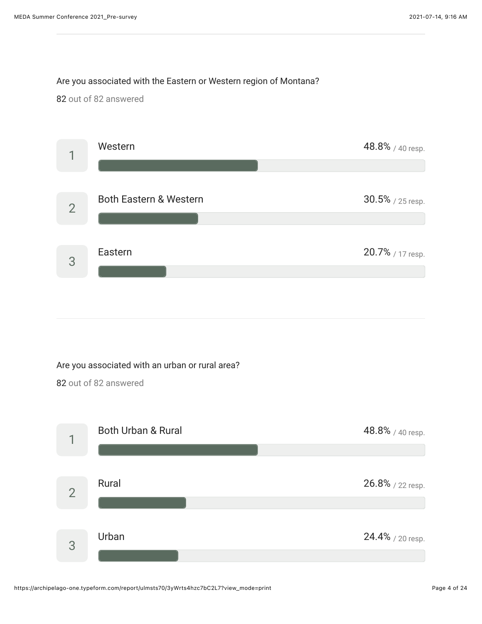### Are you associated with the Eastern or Western region of Montana?

92 out of 92 answered



### Are you associated with an urban or rural area?

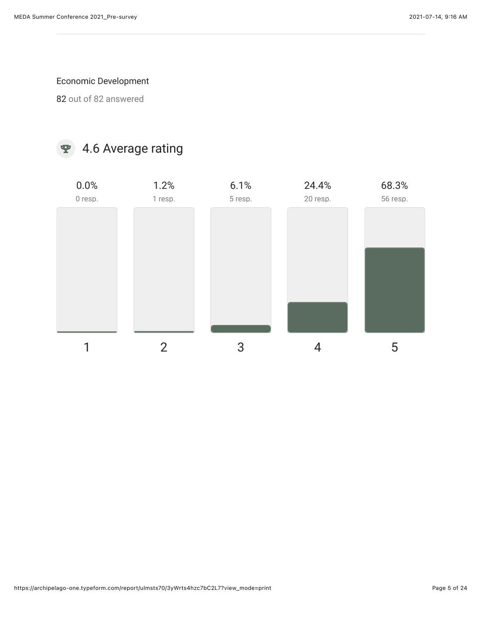### Economic Development

92 out of 92 answered

### $\bullet$  4.6 Average rating

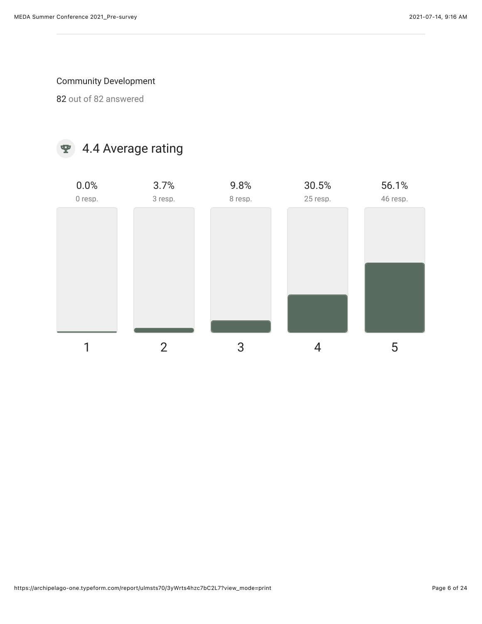### Community Development

92 out of 92 answered

### 4.4 Average rating

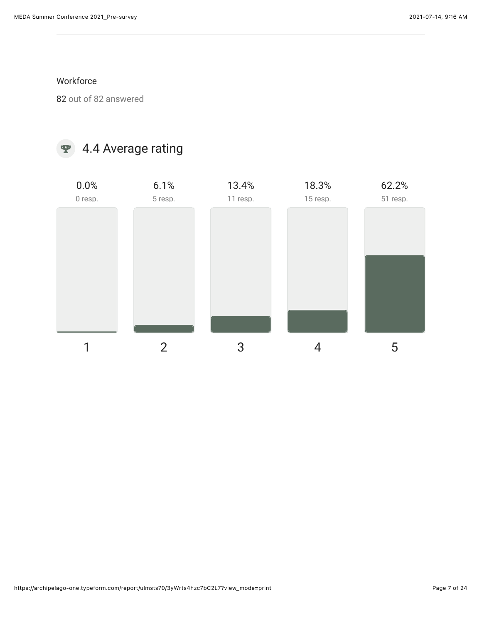#### **Workforce**

92 out of 92 answered

### 4.4 Average rating

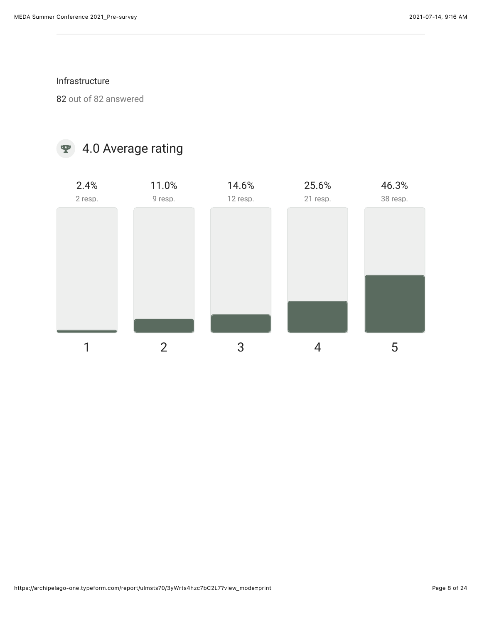#### Infrastructure

92 out of 92 answered

### 4.0 Average rating

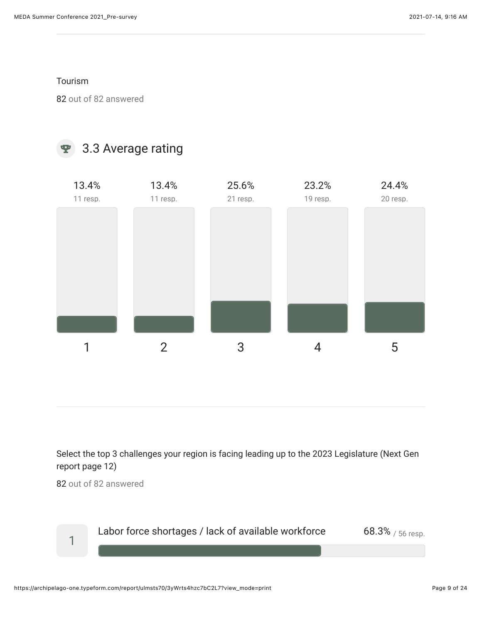Tourism

92 out of 92 answered

### 9 3.3 Average rating



Select the top 3 challenges your region is facing leading up to the 2023 Legislature (Next Gen report page 12)

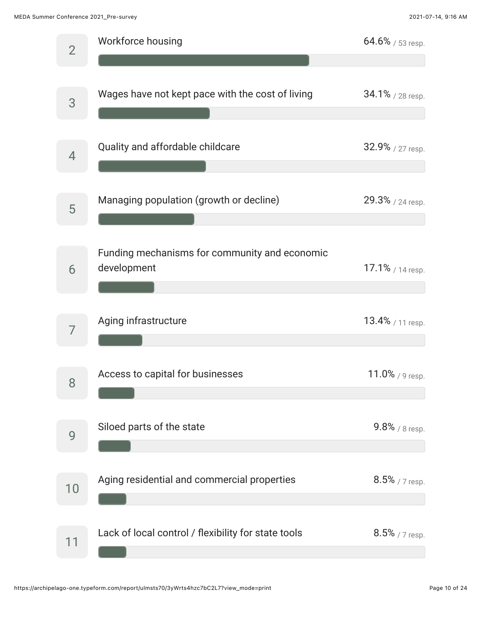MEDA Summer Conference 2021\_Pre-survey 2021-07-14, 9:16 AM

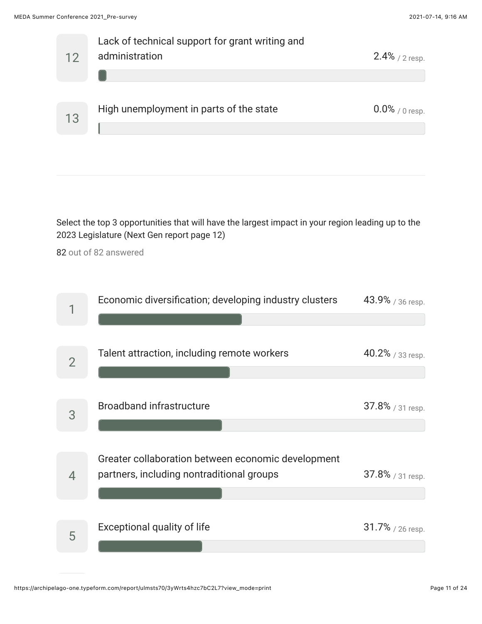

Select the top 3 opportunities that will have the largest impact in your region leading up to the 2023 Legislature (Next Gen report page 12)

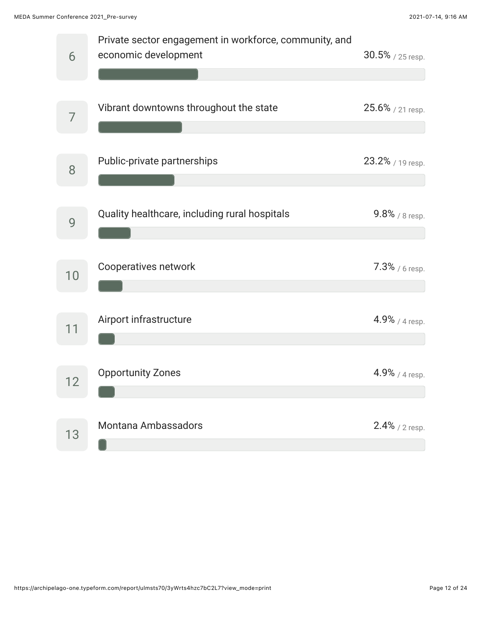| 6  | Private sector engagement in workforce, community, and<br>economic development | 30.5% / 25 resp.  |
|----|--------------------------------------------------------------------------------|-------------------|
| 7  | Vibrant downtowns throughout the state                                         | 25.6% / 21 resp.  |
| 8  | Public-private partnerships                                                    | 23.2% / 19 resp.  |
| 9  | Quality healthcare, including rural hospitals                                  | $9.8\%$ / 8 resp. |
| 10 | Cooperatives network                                                           | $7.3\%$ / 6 resp. |
| 11 | Airport infrastructure                                                         | $4.9\%$ / 4 resp. |
|    | <b>Opportunity Zones</b>                                                       | $4.9\%$ / 4 resp. |
| 13 | <b>Montana Ambassadors</b>                                                     | $2.4\%$ / 2 resp. |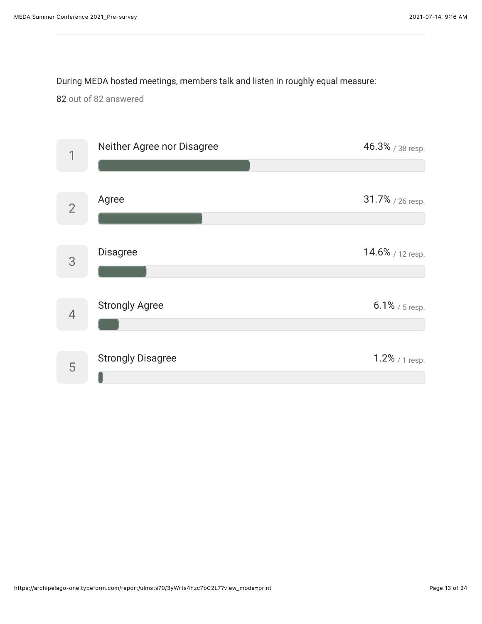#### During MEDA hosted meetings, members talk and listen in roughly equal measure:

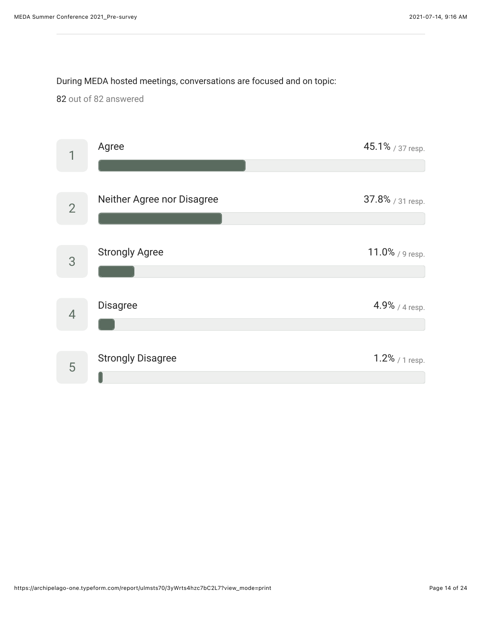### During MEDA hosted meetings, conversations are focused and on topic:

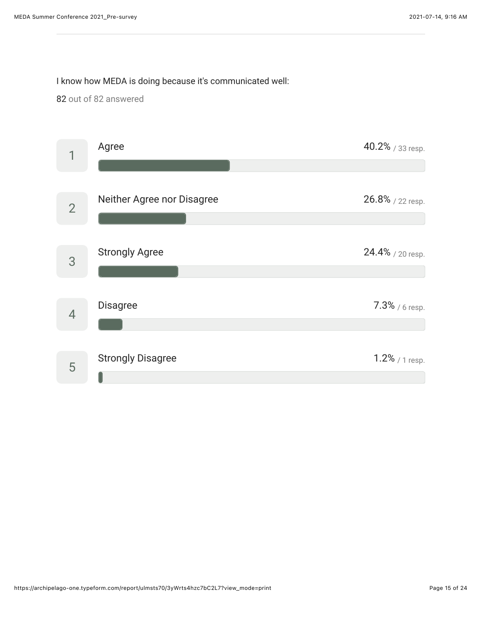### I know how MEDA is doing because it's communicated well:

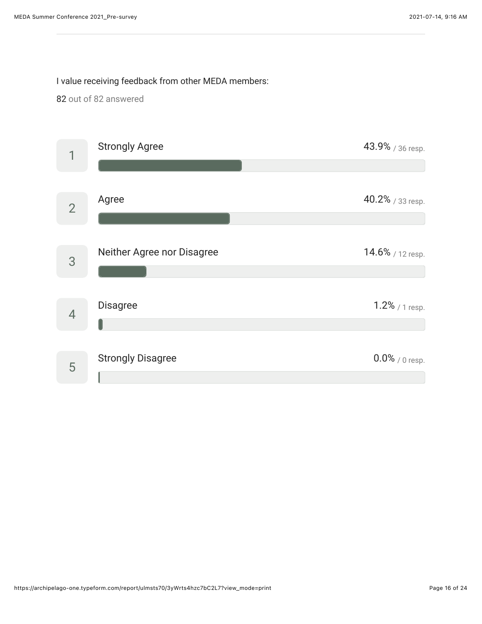I value receiving feedback from other MEDA members:

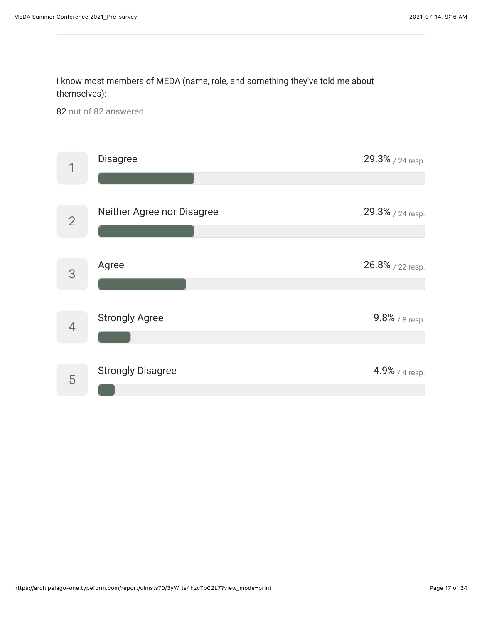I know most members of MEDA (name, role, and something they've told me about themselves):

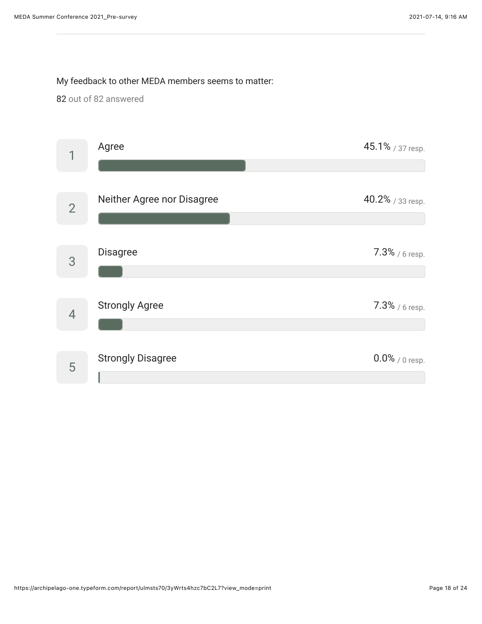#### My feedback to other MEDA members seems to matter:

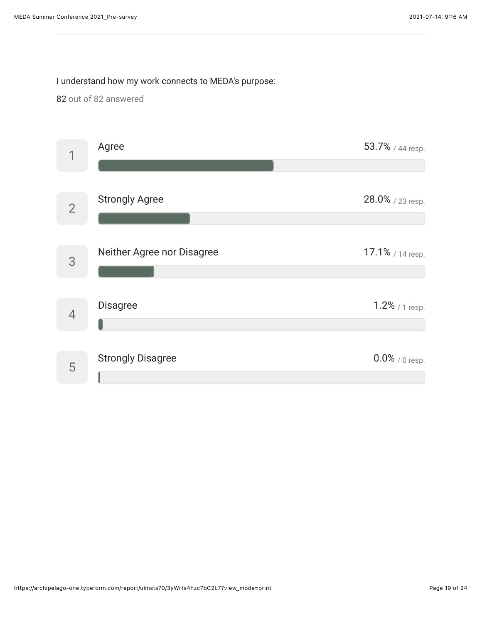### I understand how my work connects to MEDA's purpose:

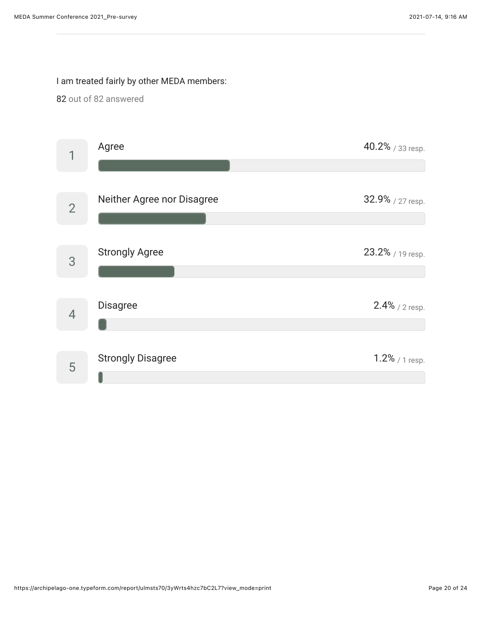### I am treated fairly by other MEDA members:

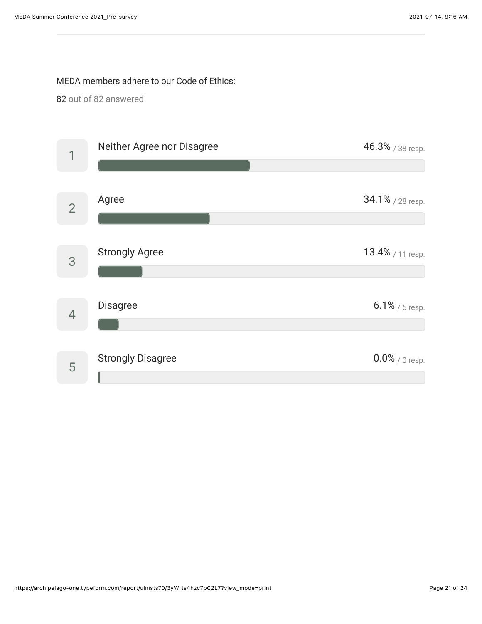#### MEDA members adhere to our Code of Ethics:

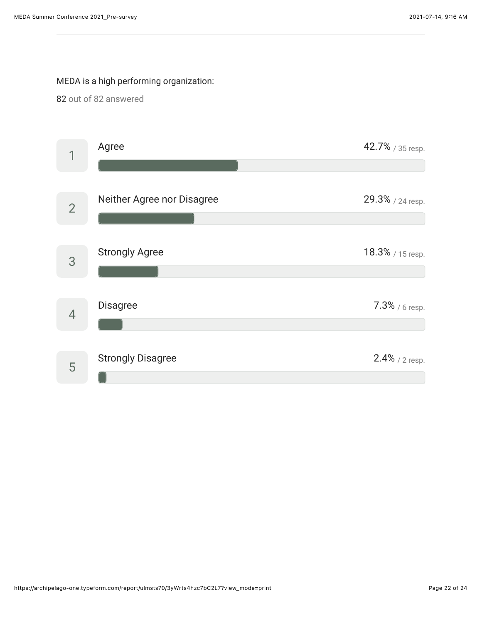### MEDA is a high performing organization:

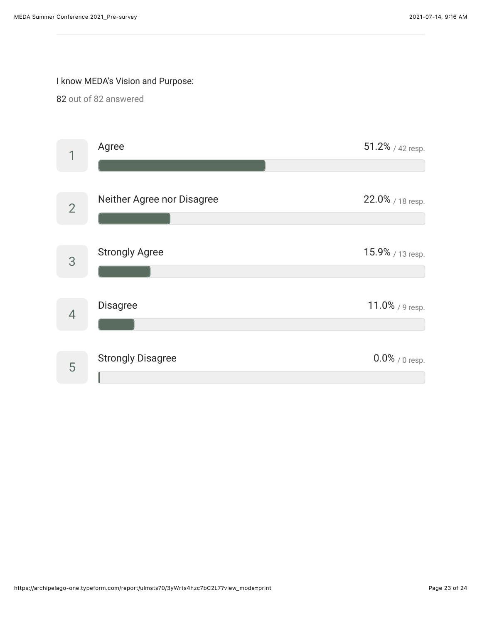### I know MEDA's Vision and Purpose: